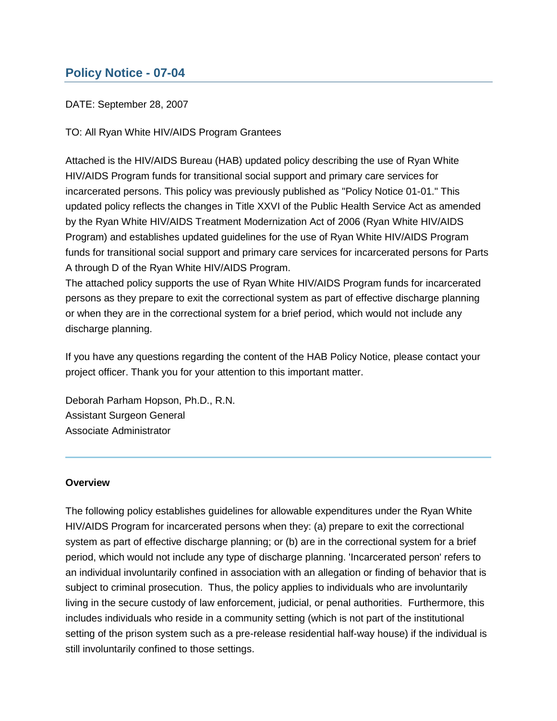# **Policy Notice - 07-04**

## DATE: September 28, 2007

TO: All Ryan White HIV/AIDS Program Grantees

Attached is the HIV/AIDS Bureau (HAB) updated policy describing the use of Ryan White HIV/AIDS Program funds for transitional social support and primary care services for incarcerated persons. This policy was previously published as "Policy Notice 01-01." This updated policy reflects the changes in Title XXVI of the Public Health Service Act as amended by the Ryan White HIV/AIDS Treatment Modernization Act of 2006 (Ryan White HIV/AIDS Program) and establishes updated guidelines for the use of Ryan White HIV/AIDS Program funds for transitional social support and primary care services for incarcerated persons for Parts A through D of the Ryan White HIV/AIDS Program.

The attached policy supports the use of Ryan White HIV/AIDS Program funds for incarcerated persons as they prepare to exit the correctional system as part of effective discharge planning or when they are in the correctional system for a brief period, which would not include any discharge planning.

If you have any questions regarding the content of the HAB Policy Notice, please contact your project officer. Thank you for your attention to this important matter.

Deborah Parham Hopson, Ph.D., R.N. Assistant Surgeon General Associate Administrator

## **Overview**

The following policy establishes guidelines for allowable expenditures under the Ryan White HIV/AIDS Program for incarcerated persons when they: (a) prepare to exit the correctional system as part of effective discharge planning; or (b) are in the correctional system for a brief period, which would not include any type of discharge planning. 'Incarcerated person' refers to an individual involuntarily confined in association with an allegation or finding of behavior that is subject to criminal prosecution. Thus, the policy applies to individuals who are involuntarily living in the secure custody of law enforcement, judicial, or penal authorities. Furthermore, this includes individuals who reside in a community setting (which is not part of the institutional setting of the prison system such as a pre-release residential half-way house) if the individual is still involuntarily confined to those settings.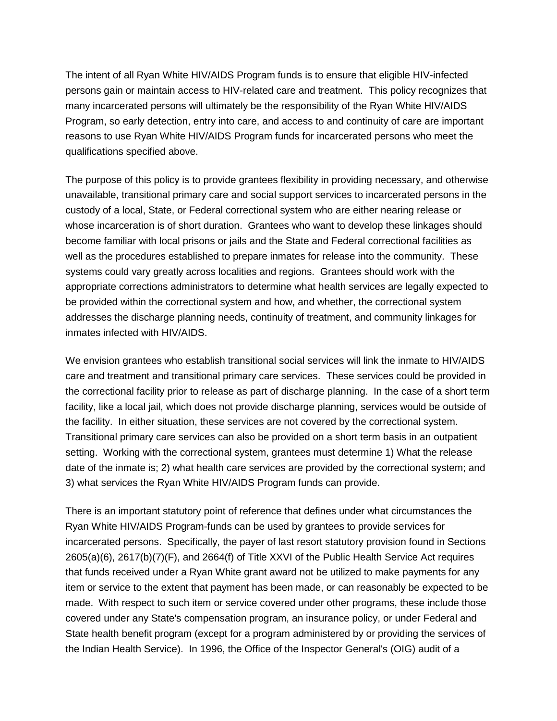The intent of all Ryan White HIV/AIDS Program funds is to ensure that eligible HIV-infected persons gain or maintain access to HIV-related care and treatment. This policy recognizes that many incarcerated persons will ultimately be the responsibility of the Ryan White HIV/AIDS Program, so early detection, entry into care, and access to and continuity of care are important reasons to use Ryan White HIV/AIDS Program funds for incarcerated persons who meet the qualifications specified above.

The purpose of this policy is to provide grantees flexibility in providing necessary, and otherwise unavailable, transitional primary care and social support services to incarcerated persons in the custody of a local, State, or Federal correctional system who are either nearing release or whose incarceration is of short duration. Grantees who want to develop these linkages should become familiar with local prisons or jails and the State and Federal correctional facilities as well as the procedures established to prepare inmates for release into the community. These systems could vary greatly across localities and regions. Grantees should work with the appropriate corrections administrators to determine what health services are legally expected to be provided within the correctional system and how, and whether, the correctional system addresses the discharge planning needs, continuity of treatment, and community linkages for inmates infected with HIV/AIDS.

We envision grantees who establish transitional social services will link the inmate to HIV/AIDS care and treatment and transitional primary care services. These services could be provided in the correctional facility prior to release as part of discharge planning. In the case of a short term facility, like a local jail, which does not provide discharge planning, services would be outside of the facility. In either situation, these services are not covered by the correctional system. Transitional primary care services can also be provided on a short term basis in an outpatient setting. Working with the correctional system, grantees must determine 1) What the release date of the inmate is; 2) what health care services are provided by the correctional system; and 3) what services the Ryan White HIV/AIDS Program funds can provide.

There is an important statutory point of reference that defines under what circumstances the Ryan White HIV/AIDS Program-funds can be used by grantees to provide services for incarcerated persons. Specifically, the payer of last resort statutory provision found in Sections 2605(a)(6), 2617(b)(7)(F), and 2664(f) of Title XXVI of the Public Health Service Act requires that funds received under a Ryan White grant award not be utilized to make payments for any item or service to the extent that payment has been made, or can reasonably be expected to be made. With respect to such item or service covered under other programs, these include those covered under any State's compensation program, an insurance policy, or under Federal and State health benefit program (except for a program administered by or providing the services of the Indian Health Service). In 1996, the Office of the Inspector General's (OIG) audit of a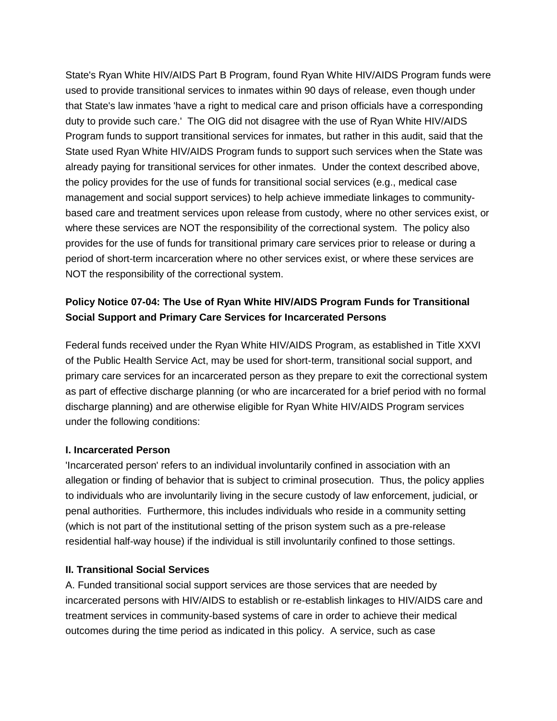State's Ryan White HIV/AIDS Part B Program, found Ryan White HIV/AIDS Program funds were used to provide transitional services to inmates within 90 days of release, even though under that State's law inmates 'have a right to medical care and prison officials have a corresponding duty to provide such care.' The OIG did not disagree with the use of Ryan White HIV/AIDS Program funds to support transitional services for inmates, but rather in this audit, said that the State used Ryan White HIV/AIDS Program funds to support such services when the State was already paying for transitional services for other inmates. Under the context described above, the policy provides for the use of funds for transitional social services (e.g., medical case management and social support services) to help achieve immediate linkages to communitybased care and treatment services upon release from custody, where no other services exist, or where these services are NOT the responsibility of the correctional system. The policy also provides for the use of funds for transitional primary care services prior to release or during a period of short-term incarceration where no other services exist, or where these services are NOT the responsibility of the correctional system.

## **Policy Notice 07-04: The Use of Ryan White HIV/AIDS Program Funds for Transitional Social Support and Primary Care Services for Incarcerated Persons**

Federal funds received under the Ryan White HIV/AIDS Program, as established in Title XXVI of the Public Health Service Act, may be used for short-term, transitional social support, and primary care services for an incarcerated person as they prepare to exit the correctional system as part of effective discharge planning (or who are incarcerated for a brief period with no formal discharge planning) and are otherwise eligible for Ryan White HIV/AIDS Program services under the following conditions:

## **I. Incarcerated Person**

'Incarcerated person' refers to an individual involuntarily confined in association with an allegation or finding of behavior that is subject to criminal prosecution. Thus, the policy applies to individuals who are involuntarily living in the secure custody of law enforcement, judicial, or penal authorities. Furthermore, this includes individuals who reside in a community setting (which is not part of the institutional setting of the prison system such as a pre-release residential half-way house) if the individual is still involuntarily confined to those settings.

## **II. Transitional Social Services**

A. Funded transitional social support services are those services that are needed by incarcerated persons with HIV/AIDS to establish or re-establish linkages to HIV/AIDS care and treatment services in community-based systems of care in order to achieve their medical outcomes during the time period as indicated in this policy. A service, such as case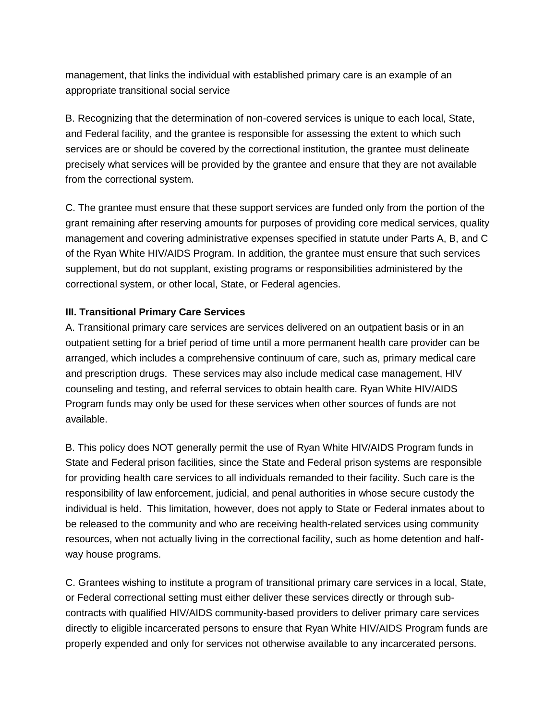management, that links the individual with established primary care is an example of an appropriate transitional social service

B. Recognizing that the determination of non-covered services is unique to each local, State, and Federal facility, and the grantee is responsible for assessing the extent to which such services are or should be covered by the correctional institution, the grantee must delineate precisely what services will be provided by the grantee and ensure that they are not available from the correctional system.

C. The grantee must ensure that these support services are funded only from the portion of the grant remaining after reserving amounts for purposes of providing core medical services, quality management and covering administrative expenses specified in statute under Parts A, B, and C of the Ryan White HIV/AIDS Program. In addition, the grantee must ensure that such services supplement, but do not supplant, existing programs or responsibilities administered by the correctional system, or other local, State, or Federal agencies.

## **III. Transitional Primary Care Services**

A. Transitional primary care services are services delivered on an outpatient basis or in an outpatient setting for a brief period of time until a more permanent health care provider can be arranged, which includes a comprehensive continuum of care, such as, primary medical care and prescription drugs. These services may also include medical case management, HIV counseling and testing, and referral services to obtain health care. Ryan White HIV/AIDS Program funds may only be used for these services when other sources of funds are not available.

B. This policy does NOT generally permit the use of Ryan White HIV/AIDS Program funds in State and Federal prison facilities, since the State and Federal prison systems are responsible for providing health care services to all individuals remanded to their facility. Such care is the responsibility of law enforcement, judicial, and penal authorities in whose secure custody the individual is held. This limitation, however, does not apply to State or Federal inmates about to be released to the community and who are receiving health-related services using community resources, when not actually living in the correctional facility, such as home detention and halfway house programs.

C. Grantees wishing to institute a program of transitional primary care services in a local, State, or Federal correctional setting must either deliver these services directly or through subcontracts with qualified HIV/AIDS community-based providers to deliver primary care services directly to eligible incarcerated persons to ensure that Ryan White HIV/AIDS Program funds are properly expended and only for services not otherwise available to any incarcerated persons.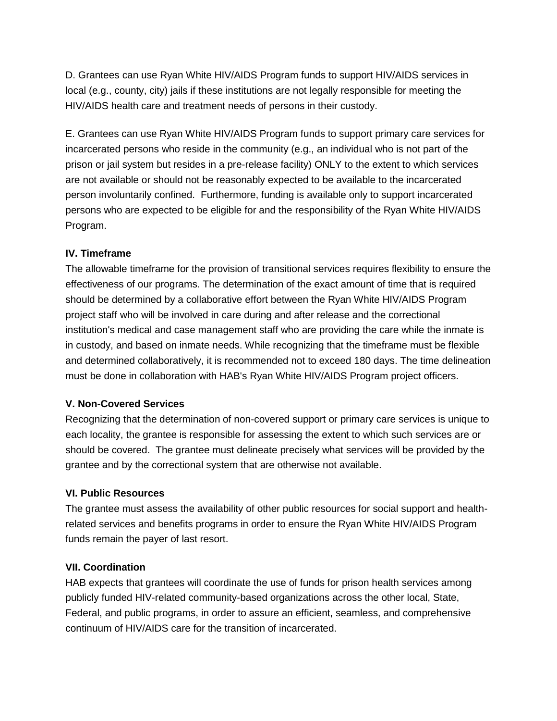D. Grantees can use Ryan White HIV/AIDS Program funds to support HIV/AIDS services in local (e.g., county, city) jails if these institutions are not legally responsible for meeting the HIV/AIDS health care and treatment needs of persons in their custody.

E. Grantees can use Ryan White HIV/AIDS Program funds to support primary care services for incarcerated persons who reside in the community (e.g., an individual who is not part of the prison or jail system but resides in a pre-release facility) ONLY to the extent to which services are not available or should not be reasonably expected to be available to the incarcerated person involuntarily confined. Furthermore, funding is available only to support incarcerated persons who are expected to be eligible for and the responsibility of the Ryan White HIV/AIDS Program.

#### **IV. Timeframe**

The allowable timeframe for the provision of transitional services requires flexibility to ensure the effectiveness of our programs. The determination of the exact amount of time that is required should be determined by a collaborative effort between the Ryan White HIV/AIDS Program project staff who will be involved in care during and after release and the correctional institution's medical and case management staff who are providing the care while the inmate is in custody, and based on inmate needs. While recognizing that the timeframe must be flexible and determined collaboratively, it is recommended not to exceed 180 days. The time delineation must be done in collaboration with HAB's Ryan White HIV/AIDS Program project officers.

#### **V. Non-Covered Services**

Recognizing that the determination of non-covered support or primary care services is unique to each locality, the grantee is responsible for assessing the extent to which such services are or should be covered. The grantee must delineate precisely what services will be provided by the grantee and by the correctional system that are otherwise not available.

#### **VI. Public Resources**

The grantee must assess the availability of other public resources for social support and healthrelated services and benefits programs in order to ensure the Ryan White HIV/AIDS Program funds remain the payer of last resort.

#### **VII. Coordination**

HAB expects that grantees will coordinate the use of funds for prison health services among publicly funded HIV-related community-based organizations across the other local, State, Federal, and public programs, in order to assure an efficient, seamless, and comprehensive continuum of HIV/AIDS care for the transition of incarcerated.